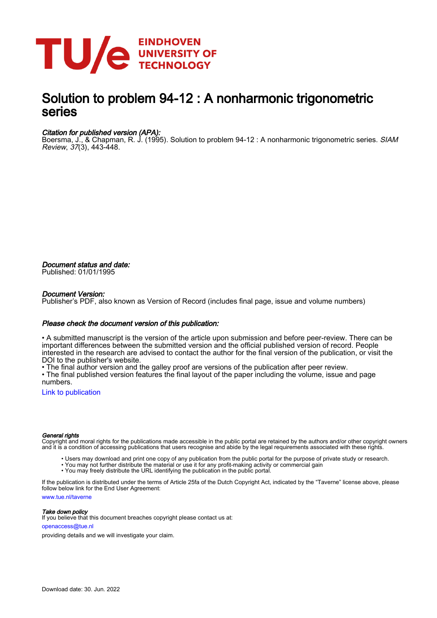

# Solution to problem 94-12 : A nonharmonic trigonometric series

# Citation for published version (APA):

Boersma, J., & Chapman, R. J. (1995). Solution to problem 94-12 : A nonharmonic trigonometric series. *SIAM* Review, 37(3), 443-448.

Document status and date: Published: 01/01/1995

## Document Version:

Publisher's PDF, also known as Version of Record (includes final page, issue and volume numbers)

# Please check the document version of this publication:

• A submitted manuscript is the version of the article upon submission and before peer-review. There can be important differences between the submitted version and the official published version of record. People interested in the research are advised to contact the author for the final version of the publication, or visit the DOI to the publisher's website.

• The final author version and the galley proof are versions of the publication after peer review.

• The final published version features the final layout of the paper including the volume, issue and page numbers.

[Link to publication](https://research.tue.nl/en/publications/824db042-5f0d-4019-8f16-2aea4dac2697)

### General rights

Copyright and moral rights for the publications made accessible in the public portal are retained by the authors and/or other copyright owners and it is a condition of accessing publications that users recognise and abide by the legal requirements associated with these rights.

- Users may download and print one copy of any publication from the public portal for the purpose of private study or research.
- You may not further distribute the material or use it for any profit-making activity or commercial gain
- You may freely distribute the URL identifying the publication in the public portal.

If the publication is distributed under the terms of Article 25fa of the Dutch Copyright Act, indicated by the "Taverne" license above, please follow below link for the End User Agreement:

www.tue.nl/taverne

**Take down policy**<br>If you believe that this document breaches copyright please contact us at:

openaccess@tue.nl

providing details and we will investigate your claim.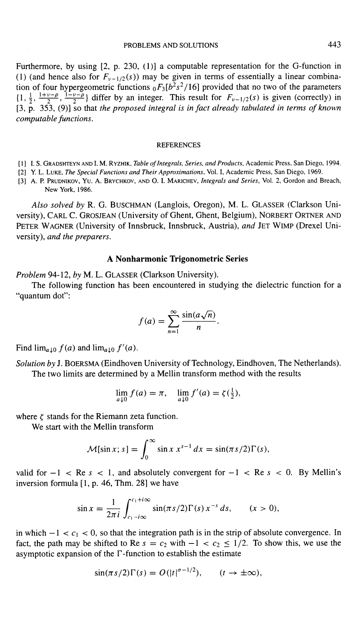Furthermore, by using [2, p. 230, (1)] a computable representation for the G-function in (1) (and hence also for  $F_{\nu-1/2}(s)$ ) may be given in terms of essentially a linear combination of four hypergeometric functions  $_0F_3[b^2s^2/16]$  provided that no two of the parameters  $\{1, \frac{1}{2}, \frac{1+\nu-\rho}{2}, \frac{1-\nu-\rho}{2}\}\$  differ by an integer. This result for  $F_{\nu-1/2}(s)$  is given (correctly) in [3, p. 353, (9)] so that the proposed integral is in fact already tabulated in terms of known computable functions.

### **REFERENCES**

- [1] I. S. GRADSHTEYN AND I. M. RYZHIK, Table of Integrals, Series, and Products, Academic Press, San Diego, 1994.
- [2] Y. L. LUKE, The Special Functions and Their Approximations, Vol. I, Academic Press, San Diego, 1969.
- [3] A. P. PRUDNIKOV, YU. A. BRYCHKOV, AND O. I. MARICHEV, Integrals and Series, Vol. 2, Gordon and Breach, New York, 1986.

Also solved by R. G. BUSCHMAN (Langlois, Oregon), M. L. GLASSER (Clarkson University), CARL C. GROSJEAN (University of Ghent, Ghent, Belgium), NORBERT ORTNER AND PETER WAGNER (University of Innsbruck, Innsbruck, Austria), and JET WIMP (Drexel University), and the preparers.

### A Nonharmonic Trigonometric Series

Problem 94-12, by M. L. GLASSER (Clarkson University).

The following function has been encountered in studying the dielectric function for a "quantum dot":

$$
f(a) = \sum_{n=1}^{\infty} \frac{\sin(a\sqrt{n})}{n}
$$

Find  $\lim_{a\downarrow 0} f(a)$  and  $\lim_{a\downarrow 0} f'(a)$ .

Solution by J. BOERSMA (Eindhoven University of Technology, Eindhoven, The Netherlands). The two limits are determined by a Mellin transform method with the results

$$
\lim_{a \downarrow 0} f(a) = \pi, \quad \lim_{a \downarrow 0} f'(a) = \zeta(\frac{1}{2}),
$$

where  $\zeta$  stands for the Riemann zeta function.

We start with the Mellin transform

$$
\mathcal{M}[\sin x; s] = \int_0^\infty \sin x \, x^{s-1} \, dx = \sin(\pi s/2) \Gamma(s),
$$

valid for  $-1 <$  Re s  $< 1$ , and absolutely convergent for  $-1 <$  Re s  $< 0$ . By Mellin's inversion formula  $[1, p. 46, Thm. 28]$  we have

$$
\sin x = \frac{1}{2\pi i} \int_{c_1 - i\infty}^{c_1 + i\infty} \sin(\pi s/2) \Gamma(s) x^{-s} ds, \qquad (x > 0),
$$

in which  $-1 < c_1 < 0$ , so that the integration path is in the strip of absolute convergence. In fact, the path may be shifted to Re  $s = c_2$  with  $-1 < c_2 \le 1/2$ . To show this, we use the asymptotic expansion of the  $\Gamma$ -function to establish the estimate

$$
\sin(\pi s/2)\Gamma(s) = O(|t|^{\sigma-1/2}), \qquad (t \to \pm \infty),
$$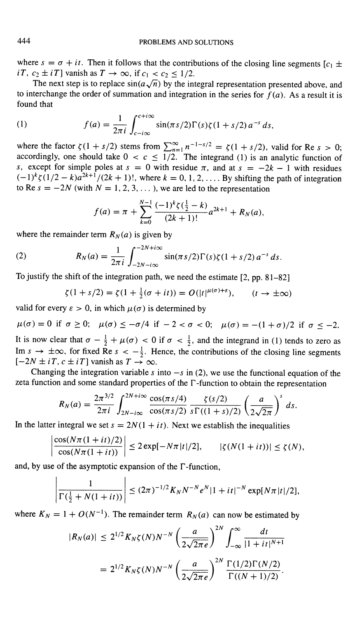where  $s = \sigma + it$ . Then it follows that the contributions of the closing line segments  $[c_1 \pm \sigma + it_1]$  $iT$ ,  $c_2 \pm iT$ ] vanish as  $T \rightarrow \infty$ , if  $c_1 < c_2 \le 1/2$ .

The next step is to replace  $sin(a\sqrt{n})$  by the integral representation presented above, and to interchange the order of summation and integration in the series for  $f(a)$ . As a result it is found that

(1) 
$$
f(a) = \frac{1}{2\pi i} \int_{c-i\infty}^{c+i\infty} \sin(\pi s/2) \Gamma(s) \zeta(1+s/2) a^{-s} ds.
$$

where the factor  $\zeta(1 + s/2)$  stems from  $\sum_{n=1}^{\infty} n^{-1-s/2} = \zeta(1 + s/2)$ , valid for Re  $s > 0$ ; accordingly, one should take  $0 < c \leq 1/2$ . The integrand (1) is an analytic function of s, except for simple poles at  $s = 0$  with residue  $\pi$ , and at  $s = -2k - 1$  with residues  $(-1)^k \zeta(1/2 - k)a^{2k+1}/(2k + 1)!$ , where  $k = 0, 1, 2, \ldots$  By shifting the path of integration to Re  $s = -2N$  (with  $N = 1, 2, 3, ...$ ), we are led to the representation

$$
f(a) = \pi + \sum_{k=0}^{N-1} \frac{(-1)^k \zeta(\frac{1}{2} - k)}{(2k+1)!} a^{2k+1} + R_N(a),
$$

where the remainder term  $R_N(a)$  is given by

(2) 
$$
R_N(a) = \frac{1}{2\pi i} \int_{-2N - i\infty}^{-2N + i\infty} \sin(\pi s/2) \Gamma(s) \zeta(1 + s/2) a^{-s} ds.
$$

To justify the shift of the integration path, we need the estimate [2, pp. 81-82]

$$
\zeta(1+s/2) = \zeta(1+\tfrac{1}{2}(\sigma+it)) = O(|t|^{\mu(\sigma)+\varepsilon}), \qquad (t \to \pm \infty)
$$

valid for every  $\varepsilon > 0$ , in which  $\mu(\sigma)$  is determined by

 $\mu(\sigma) = 0$  if  $\sigma \ge 0$ ;  $\mu(\sigma) \le -\sigma/4$  if  $-2 < \sigma < 0$ ;  $\mu(\sigma) = -(1 + \sigma)/2$  if  $\sigma \le -2$ . It is now clear that  $\sigma - \frac{1}{2} + \mu(\sigma) < 0$  if  $\sigma < \frac{1}{2}$ , and the integrand in (1) tends to zero as Im  $s \to \pm \infty$ , for fixed Re  $s < -\frac{1}{2}$ . Hence, the contributions of the closing line segments  $[-2N \pm iT, c \pm iT]$  vanish as  $T \rightarrow \infty$ .

Changing the integration variable s into  $-s$  in (2), we use the functional equation of the zeta function and some standard properties of the  $\Gamma$ -function to obtain the representation

$$
R_N(a) = \frac{2\pi^{3/2}}{2\pi i} \int_{2N-i\infty}^{2N+i\infty} \frac{\cos(\pi s/4)}{\cos(\pi s/2)} \frac{\zeta(s/2)}{s\Gamma((1+s)/2)} \left(\frac{a}{2\sqrt{2\pi}}\right)^s ds.
$$

In the latter integral we set  $s = 2N(1 + it)$ . Next we establish the inequalities

$$
\left|\frac{\cos(N\pi(1+it)/2)}{\cos(N\pi(1+it))}\right| \leq 2\exp[-N\pi|t|/2], \qquad |\zeta(N(1+it))| \leq \zeta(N),
$$

and, by use of the asymptotic expansion of the  $\Gamma$ -function,

 $\mathbf{r}$ 

$$
\left|\frac{1}{\Gamma(\frac{1}{2}+N(1+it))}\right| \leq (2\pi)^{-1/2} K_N N^{-N} e^N |1+it|^{-N} \exp[N\pi|t|/2],
$$

where  $K_N = 1 + O(N^{-1})$ . The remainder term  $R_N(a)$  can now be estimated by

$$
|R_N(a)| \le 2^{1/2} K_N \zeta(N) N^{-N} \left(\frac{a}{2\sqrt{2\pi e}}\right)^{2N} \int_{-\infty}^{\infty} \frac{dt}{|1+it|^{N+1}}
$$
  
=  $2^{1/2} K_N \zeta(N) N^{-N} \left(\frac{a}{2\sqrt{2\pi e}}\right)^{2N} \frac{\Gamma(1/2)\Gamma(N/2)}{\Gamma((N+1)/2)}.$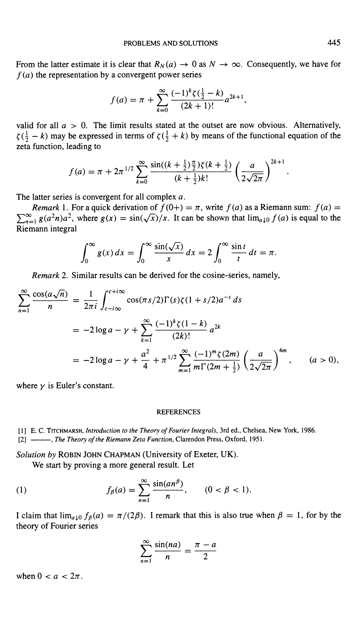From the latter estimate it is clear that  $R_N(a) \to 0$  as  $N \to \infty$ . Consequently, we have for  $f(a)$  the representation by a convergent power series

$$
f(a) = \pi + \sum_{k=0}^{\infty} \frac{(-1)^k \zeta(\frac{1}{2} - k)}{(2k+1)!} a^{2k+1},
$$

valid for all  $a > 0$ . The limit results stated at the outset are now obvious. Alternatively,  $\zeta(\frac{1}{2} - k)$  may be expressed in terms of  $\zeta(\frac{1}{2} + k)$  by means of the functional equation of the zeta function, leading to

$$
f(a) = \pi + 2\pi^{1/2} \sum_{k=0}^{\infty} \frac{\sin((k + \frac{1}{2})\frac{\pi}{2})\zeta(k + \frac{1}{2})}{(k + \frac{1}{2})k!} \left(\frac{a}{2\sqrt{2\pi}}\right)^{2k+1}
$$

The latter series is convergent for all complex a.

*Remark* 1. For a quick derivation of  $f(0+) = \pi$ , write  $f(a)$  as a Riemann sum:  $f(a) =$  $\sum_{n=1}^{\infty} g(a^2n)a^2$ , where  $g(x) = \frac{\sin(\sqrt{x})}{x}$ . It can be shown that  $\lim_{a \downarrow 0} f(a)$  is equal to the Riemann integral

$$
\int_0^\infty g(x) dx = \int_0^\infty \frac{\sin(\sqrt{x})}{x} dx = 2 \int_0^\infty \frac{\sin t}{t} dt = \pi.
$$

Remark 2. Similar results can be derived for the cosine-series, namely,

$$
\sum_{n=1}^{\infty} \frac{\cos(a\sqrt{n})}{n} = \frac{1}{2\pi i} \int_{c-i\infty}^{c+i\infty} \cos(\pi s/2) \Gamma(s) \zeta(1+s/2) a^{-s} ds
$$
  
=  $-2 \log a - \gamma + \sum_{k=1}^{\infty} \frac{(-1)^k \zeta(1-k)}{(2k)!} a^{2k}$   
=  $-2 \log a - \gamma + \frac{a^2}{4} + \pi^{1/2} \sum_{m=1}^{\infty} \frac{(-1)^m \zeta(2m)}{m \Gamma(2m + \frac{1}{2})} \left(\frac{a}{2\sqrt{2\pi}}\right)^{4m}, \qquad (a > 0),$ 

where  $\gamma$  is Euler's constant.

### REFERENCES

[1] E. C. TITCHMARSH, Introduction to the Theory of Fourier Integrals, 3rd ed., Chelsea, New York, 1986. [2]  $\longrightarrow$ , The Theory of the Riemann Zeta Function, Clarendon Press, Oxford, 1951.

Solution by ROBIN JOHN CHAPMAN (University of Exeter, UK).

We start by proving amore general result. Let

(1) 
$$
f_{\beta}(a) = \sum_{n=1}^{\infty} \frac{\sin(an^{\beta})}{n}, \qquad (0 < \beta < 1).
$$

I claim that  $\lim_{a\downarrow 0} f_\beta(a) = \pi/(2\beta)$ . I remark that this is also true when  $\beta = 1$ , for by the theory of Fourier series

$$
\sum_{n=1}^{\infty} \frac{\sin(na)}{n} = \frac{\pi - a}{2}
$$

when  $0 < a < 2\pi$ .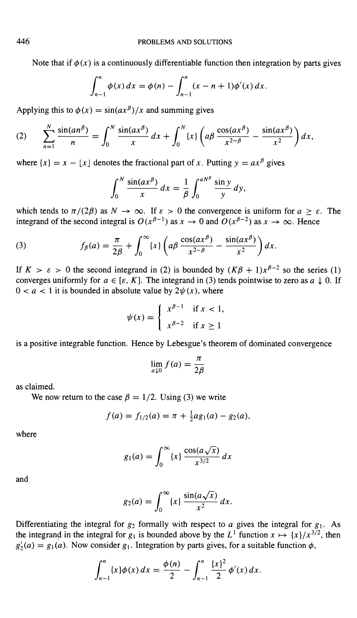Note that if  $\phi(x)$  is a continuously differentiable function then integration by parts gives

$$
\int_{n-1}^n \phi(x) \, dx = \phi(n) - \int_{n-1}^n (x - n + 1) \phi'(x) \, dx.
$$

Applying this to  $\phi(x) = \sin(ax^{\beta})/x$  and summing gives

(2) 
$$
\sum_{n=1}^{N} \frac{\sin(an^{\beta})}{n} = \int_{0}^{N} \frac{\sin(ax^{\beta})}{x} dx + \int_{0}^{N} \{x\} \left(a\beta \frac{\cos(ax^{\beta})}{x^{2-\beta}} - \frac{\sin(ax^{\beta})}{x^{2}}\right) dx,
$$

where  $\{x\} = x - \lfloor x \rfloor$  denotes the fractional part of x. Putting  $y = ax^{\beta}$  gives

$$
\int_0^N \frac{\sin(ax^\beta)}{x} dx = \frac{1}{\beta} \int_0^{aN^\beta} \frac{\sin y}{y} dy,
$$

which tends to  $\pi/(2\beta)$  as  $N \to \infty$ . If  $\varepsilon > 0$  the convergence is uniform for  $a \ge \varepsilon$ . The integrand of the second integral is  $O(x^{\beta-1})$  as  $x \to 0$  and  $O(x^{\beta-2})$  as  $x \to \infty$ . Hence

(3) 
$$
f_{\beta}(a) = \frac{\pi}{2\beta} + \int_0^{\infty} \{x\} \left(a\beta \frac{\cos(ax^{\beta})}{x^{2-\beta}} - \frac{\sin(ax^{\beta})}{x^2}\right) dx.
$$

If  $K > \varepsilon > 0$  the second integrand in (2) is bounded by  $(K\beta + 1)x^{\beta-2}$  so the series (1) converges uniformly for  $a \in [\varepsilon, K]$ . The integrand in (3) tends pointwise to zero as  $a \downarrow 0$ . If  $0 < a < 1$  it is bounded in absolute value by  $2\psi(x)$ , where

$$
\psi(x) = \begin{cases} x^{\beta - 1} & \text{if } x < 1, \\ x^{\beta - 2} & \text{if } x \ge 1 \end{cases}
$$

is a positive integrable function. Hence by Lebesgue's theorem of dominated convergence

$$
\lim_{a \downarrow 0} f(a) = \frac{\pi}{2\beta}
$$

as claimed.

We now return to the case  $\beta = 1/2$ . Using (3) we write

$$
f(a) = f_{1/2}(a) = \pi + \frac{1}{2}ag_1(a) - g_2(a),
$$

where

$$
g_1(a) = \int_0^\infty \{x\} \frac{\cos(a\sqrt{x})}{x^{3/2}} dx
$$

and

$$
g_2(a) = \int_0^\infty \{x\} \frac{\sin(a\sqrt{x})}{x^2} dx.
$$

Differentiating the integral for  $g_2$  formally with respect to a gives the integral for  $g_1$ . As the integrand in the integral for  $g_1$  is bounded above by the  $L^1$  function  $x \mapsto \{x\}/x^{3/2}$ , then  $g'_2(a) = g_1(a)$ . Now consider  $g_1$ . Integration by parts gives, for a suitable function  $\phi$ ,

$$
\int_{n-1}^n \{x\} \phi(x) \, dx = \frac{\phi(n)}{2} - \int_{n-1}^n \frac{\{x\}^2}{2} \, \phi'(x) \, dx.
$$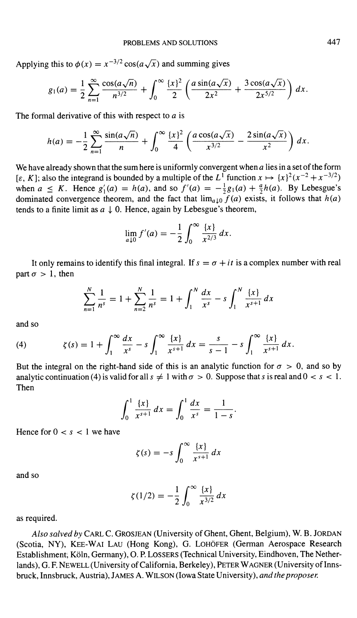Applying this to  $\phi(x) = x^{-3/2} \cos(a \sqrt{x})$  and summing gives

$$
g_1(a) = \frac{1}{2} \sum_{n=1}^{\infty} \frac{\cos(a\sqrt{n})}{n^{3/2}} + \int_0^{\infty} \frac{\{x\}^2}{2} \left( \frac{a\sin(a\sqrt{x})}{2x^2} + \frac{3\cos(a\sqrt{x})}{2x^{5/2}} \right) dx.
$$

The formal derivative of this with respect to  $a$  is

$$
h(a) = -\frac{1}{2} \sum_{n=1}^{\infty} \frac{\sin(a\sqrt{n})}{n} + \int_0^{\infty} \frac{\{x\}^2}{4} \left( \frac{a \cos(a\sqrt{x})}{x^{3/2}} - \frac{2 \sin(a\sqrt{x})}{x^2} \right) dx.
$$

We have already shown that the sum here is uniformly convergent when  $a$  lies in a set of the form  $[\varepsilon, K]$ ; also the integrand is bounded by a multiple of the  $L^1$  function  $x \mapsto \{x\}^2 (x^{-2} + x^{-3/2})$ when  $a \leq K$ . Hence  $g'_1(a) = h(a)$ , and so  $f'(a) = -\frac{1}{2}g_1(a) + \frac{a}{2}h(a)$ . By Lebesgue's dominated convergence theorem, and the fact that  $\lim_{a\downarrow 0} f(a)$  exists, it follows that  $h(a)$ tends to a finite limit as  $a \downarrow 0$ . Hence, again by Lebesgue's theorem,

$$
\lim_{a \downarrow 0} f'(a) = -\frac{1}{2} \int_0^\infty \frac{\{x\}}{x^{2/3}} dx.
$$

It only remains to identify this final integral. If  $s = \sigma + it$  is a complex number with real part  $\sigma > 1$ , then

$$
\sum_{n=1}^{N} \frac{1}{n^s} = 1 + \sum_{n=2}^{N} \frac{1}{n^s} = 1 + \int_{1}^{N} \frac{dx}{x^s} - s \int_{1}^{N} \frac{\{x\}}{x^{s+1}} dx
$$

and so

(4) 
$$
\zeta(s) = 1 + \int_1^\infty \frac{dx}{x^s} - s \int_1^\infty \frac{\{x\}}{x^{s+1}} dx = \frac{s}{s-1} - s \int_1^\infty \frac{\{x\}}{x^{s+1}} dx.
$$

But the integral on the right-hand side of this is an analytic function for  $\sigma > 0$ , and so by analytic continuation (4) is valid for all  $s \neq 1$  with  $\sigma > 0$ . Suppose that s is real and  $0 < s < 1$ . Then

$$
\int_0^1 \frac{\{x\}}{x^{s+1}} dx = \int_0^1 \frac{dx}{x^s} = \frac{1}{1-s}
$$

Hence for  $0 < s < 1$  we have

$$
\zeta(s) = -s \int_0^\infty \frac{\{x\}}{x^{s+1}} dx
$$

and so

$$
\zeta(1/2) = -\frac{1}{2} \int_0^\infty \frac{\{x\}}{x^{3/2}} dx
$$

as required.

Also salved by CARL C. GROSJEAN (University of Ghent, Ghent, Belgium), W. B. JORDAN (Scotia, NY), KEE-WAI LAU (Hong Kong), G. LOHOFER (German Aerospace Research Establishment, Koln, Germany), 0. P. LOSSERS (Technical University, Eindhoven, The Netherlands), G. F. NEWELL (University of California, Berkeley), PETER WAGNER (University of Innsbruck, Innsbruck, Austria), JAMES A. WILSON (Iowa State University), and the proposer.